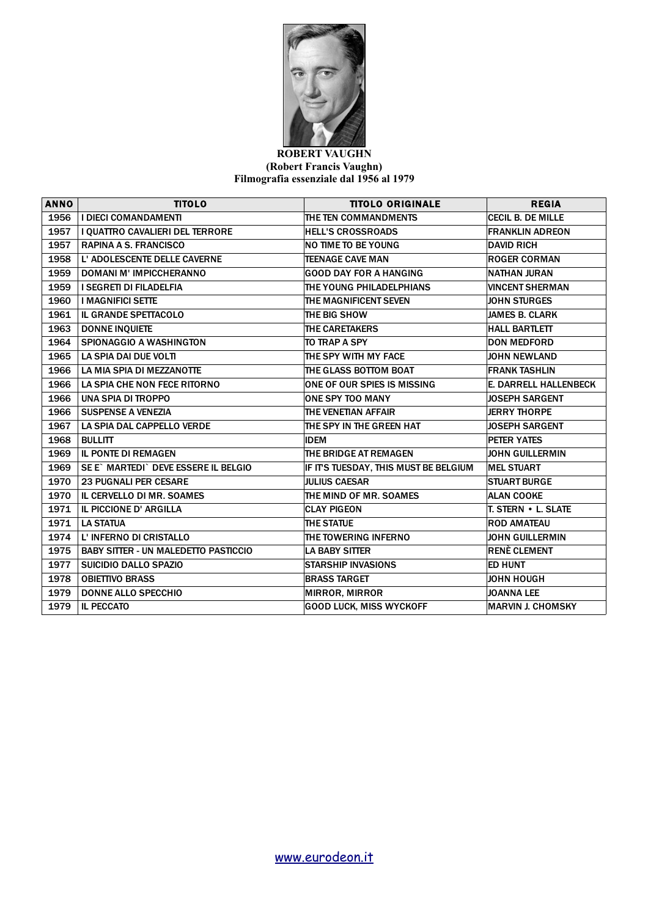

## **ROBERT VAUGHN (Robert Francis Vaughn) Filmografia essenziale dal 1956 al 1979**

| <b>ANNO</b> | <b>TITOLO</b>                               | <b>TITOLO ORIGINALE</b>              | <b>REGIA</b>             |
|-------------|---------------------------------------------|--------------------------------------|--------------------------|
| 1956        | <b>I DIECI COMANDAMENTI</b>                 | THE TEN COMMANDMENTS                 | <b>CECIL B. DE MILLE</b> |
| 1957        | I QUATTRO CAVALIERI DEL TERRORE             | <b>HELL'S CROSSROADS</b>             | <b>FRANKLIN ADREON</b>   |
| 1957        | <b>RAPINA A S. FRANCISCO</b>                | <b>NO TIME TO BE YOUNG</b>           | <b>DAVID RICH</b>        |
| 1958        | L' ADOLESCENTE DELLE CAVERNE                | <b>TEENAGE CAVE MAN</b>              | <b>ROGER CORMAN</b>      |
| 1959        | <b>DOMANI M' IMPICCHERANNO</b>              | <b>GOOD DAY FOR A HANGING</b>        | NATHAN JURAN             |
| 1959        | I SEGRETI DI FILADELFIA                     | THE YOUNG PHILADELPHIANS             | <b>VINCENT SHERMAN</b>   |
| 1960        | <b>I MAGNIFICI SETTE</b>                    | <b>THE MAGNIFICENT SEVEN</b>         | <b>JOHN STURGES</b>      |
| 1961        | IL GRANDE SPETTACOLO                        | THE BIG SHOW                         | JAMES B. CLARK           |
| 1963        | <b>DONNE INQUIETE</b>                       | <b>THE CARETAKERS</b>                | <b>HALL BARTLETT</b>     |
| 1964        | SPIONAGGIO A WASHINGTON                     | TO TRAP A SPY                        | <b>DON MEDFORD</b>       |
| 1965        | LA SPIA DAI DUE VOLTI                       | THE SPY WITH MY FACE                 | <b>JOHN NEWLAND</b>      |
| 1966        | LA MIA SPIA DI MEZZANOTTE                   | THE GLASS BOTTOM BOAT                | <b>FRANK TASHLIN</b>     |
| 1966        | LA SPIA CHE NON FECE RITORNO                | ONE OF OUR SPIES IS MISSING          | E. DARRELL HALLENBECK    |
| 1966        | UNA SPIA DI TROPPO                          | <b>ONE SPY TOO MANY</b>              | <b>JOSEPH SARGENT</b>    |
| 1966        | <b>SUSPENSE A VENEZIA</b>                   | THE VENETIAN AFFAIR                  | <b>JERRY THORPE</b>      |
| 1967        | LA SPIA DAL CAPPELLO VERDE                  | THE SPY IN THE GREEN HAT             | <b>JOSEPH SARGENT</b>    |
| 1968        | <b>BULLITT</b>                              | <b>IDEM</b>                          | <b>PETER YATES</b>       |
| 1969        | <b>IL PONTE DI REMAGEN</b>                  | THE BRIDGE AT REMAGEN                | <b>JOHN GUILLERMIN</b>   |
| 1969        | SE E` MARTEDI` DEVE ESSERE IL BELGIO        | IF ITS TUESDAY, THIS MUST BE BELGIUM | <b>MEL STUART</b>        |
| 1970        | <b>23 PUGNALI PER CESARE</b>                | <b>JULIUS CAESAR</b>                 | <b>STUART BURGE</b>      |
| 1970        | IL CERVELLO DI MR. SOAMES                   | THE MIND OF MR. SOAMES               | <b>ALAN COOKE</b>        |
| 1971        | IL PICCIONE D' ARGILLA                      | <b>CLAY PIGEON</b>                   | T. STERN • L. SLATE      |
| 1971        | <b>LA STATUA</b>                            | <b>THE STATUE</b>                    | <b>ROD AMATEAU</b>       |
| 1974        | L' INFERNO DI CRISTALLO                     | THE TOWERING INFERNO                 | <b>JOHN GUILLERMIN</b>   |
| 1975        | <b>BABY SITTER - UN MALEDETTO PASTICCIO</b> | <b>LA BABY SITTER</b>                | <b>RENÈ CLEMENT</b>      |
| 1977        | <b>SUICIDIO DALLO SPAZIO</b>                | <b>STARSHIP INVASIONS</b>            | <b>ED HUNT</b>           |
| 1978        | <b>OBIETTIVO BRASS</b>                      | <b>BRASS TARGET</b>                  | <b>JOHN HOUGH</b>        |
| 1979        | <b>DONNE ALLO SPECCHIO</b>                  | <b>MIRROR, MIRROR</b>                | <b>JOANNA LEE</b>        |
| 1979        | <b>IL PECCATO</b>                           | <b>GOOD LUCK, MISS WYCKOFF</b>       | <b>MARVIN J. CHOMSKY</b> |